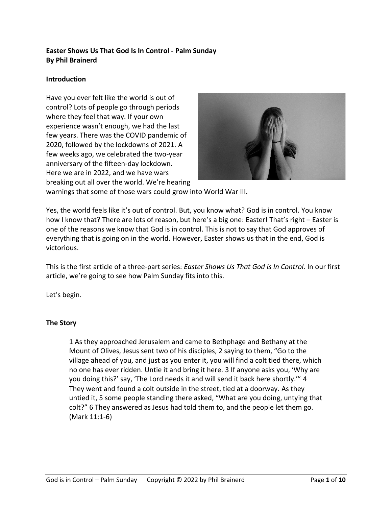## **Easter Shows Us That God Is In Control - Palm Sunday By Phil Brainerd**

## **Introduction**

Have you ever felt like the world is out of control? Lots of people go through periods where they feel that way. If your own experience wasn't enough, we had the last few years. There was the COVID pandemic of 2020, followed by the lockdowns of 2021. A few weeks ago, we celebrated the two-year anniversary of the fifteen-day lockdown. Here we are in 2022, and we have wars breaking out all over the world. We're hearing



warnings that some of those wars could grow into World War III.

Yes, the world feels like it's out of control. But, you know what? God is in control. You know how I know that? There are lots of reason, but here's a big one: Easter! That's right – Easter is one of the reasons we know that God is in control. This is not to say that God approves of everything that is going on in the world. However, Easter shows us that in the end, God is victorious.

This is the first article of a three-part series: *Easter Shows Us That God is In Control.* In our first article, we're going to see how Palm Sunday fits into this.

Let's begin.

## **The Story**

1 As they approached Jerusalem and came to Bethphage and Bethany at the Mount of Olives, Jesus sent two of his disciples, 2 saying to them, "Go to the village ahead of you, and just as you enter it, you will find a colt tied there, which no one has ever ridden. Untie it and bring it here. 3 If anyone asks you, 'Why are you doing this?' say, 'The Lord needs it and will send it back here shortly.'" 4 They went and found a colt outside in the street, tied at a doorway. As they untied it, 5 some people standing there asked, "What are you doing, untying that colt?" 6 They answered as Jesus had told them to, and the people let them go. (Mark 11:1-6)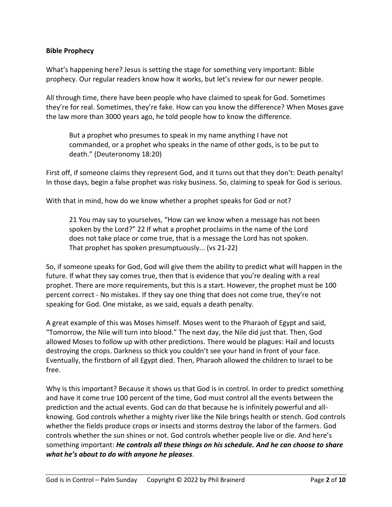### **Bible Prophecy**

What's happening here? Jesus is setting the stage for something very important: Bible prophecy. Our regular readers know how it works, but let's review for our newer people.

All through time, there have been people who have claimed to speak for God. Sometimes they're for real. Sometimes, they're fake. How can you know the difference? When Moses gave the law more than 3000 years ago, he told people how to know the difference.

But a prophet who presumes to speak in my name anything I have not commanded, or a prophet who speaks in the name of other gods, is to be put to death." (Deuteronomy 18:20)

First off, if someone claims they represent God, and it turns out that they don't: Death penalty! In those days, begin a false prophet was risky business. So, claiming to speak for God is serious.

With that in mind, how do we know whether a prophet speaks for God or not?

21 You may say to yourselves, "How can we know when a message has not been spoken by the Lord?" 22 If what a prophet proclaims in the name of the Lord does not take place or come true, that is a message the Lord has not spoken. That prophet has spoken presumptuously... (vs 21-22)

So, if someone speaks for God, God will give them the ability to predict what will happen in the future. If what they say comes true, then that is evidence that you're dealing with a real prophet. There are more requirements, but this is a start. However, the prophet must be 100 percent correct - No mistakes. If they say one thing that does not come true, they're not speaking for God. One mistake, as we said, equals a death penalty.

A great example of this was Moses himself. Moses went to the Pharaoh of Egypt and said, "Tomorrow, the Nile will turn into blood." The next day, the Nile did just that. Then, God allowed Moses to follow up with other predictions. There would be plagues: Hail and locusts destroying the crops. Darkness so thick you couldn't see your hand in front of your face. Eventually, the firstborn of all Egypt died. Then, Pharaoh allowed the children to Israel to be free.

Why is this important? Because it shows us that God is in control. In order to predict something and have it come true 100 percent of the time, God must control all the events between the prediction and the actual events. God can do that because he is infinitely powerful and allknowing. God controls whether a mighty river like the Nile brings health or stench. God controls whether the fields produce crops or insects and storms destroy the labor of the farmers. God controls whether the sun shines or not. God controls whether people live or die. And here's something important: *He controls all these things on his schedule. And he can choose to share what he's about to do with anyone he pleases*.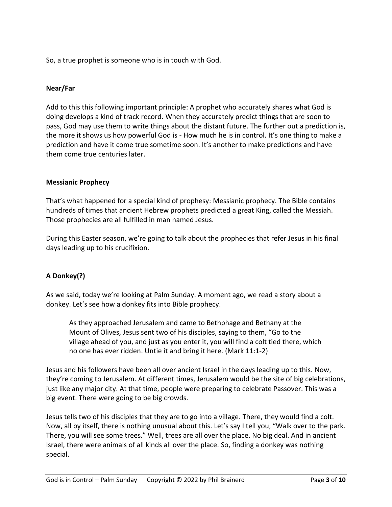So, a true prophet is someone who is in touch with God.

## **Near/Far**

Add to this this following important principle: A prophet who accurately shares what God is doing develops a kind of track record. When they accurately predict things that are soon to pass, God may use them to write things about the distant future. The further out a prediction is, the more it shows us how powerful God is - How much he is in control. It's one thing to make a prediction and have it come true sometime soon. It's another to make predictions and have them come true centuries later.

## **Messianic Prophecy**

That's what happened for a special kind of prophesy: Messianic prophecy. The Bible contains hundreds of times that ancient Hebrew prophets predicted a great King, called the Messiah. Those prophecies are all fulfilled in man named Jesus.

During this Easter season, we're going to talk about the prophecies that refer Jesus in his final days leading up to his crucifixion.

## **A Donkey(?)**

As we said, today we're looking at Palm Sunday. A moment ago, we read a story about a donkey. Let's see how a donkey fits into Bible prophecy.

As they approached Jerusalem and came to Bethphage and Bethany at the Mount of Olives, Jesus sent two of his disciples, saying to them, "Go to the village ahead of you, and just as you enter it, you will find a colt tied there, which no one has ever ridden. Untie it and bring it here. (Mark 11:1-2)

Jesus and his followers have been all over ancient Israel in the days leading up to this. Now, they're coming to Jerusalem. At different times, Jerusalem would be the site of big celebrations, just like any major city. At that time, people were preparing to celebrate Passover. This was a big event. There were going to be big crowds.

Jesus tells two of his disciples that they are to go into a village. There, they would find a colt. Now, all by itself, there is nothing unusual about this. Let's say I tell you, "Walk over to the park. There, you will see some trees." Well, trees are all over the place. No big deal. And in ancient Israel, there were animals of all kinds all over the place. So, finding a donkey was nothing special.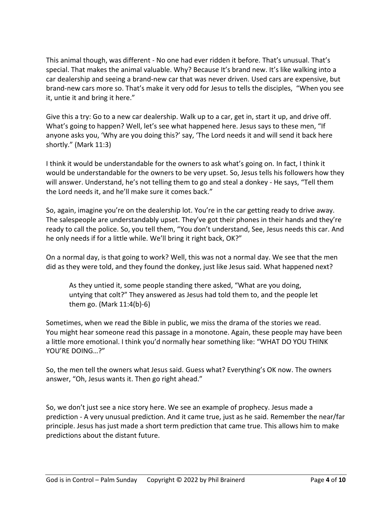This animal though, was different - No one had ever ridden it before. That's unusual. That's special. That makes the animal valuable. Why? Because It's brand new. It's like walking into a car dealership and seeing a brand-new car that was never driven. Used cars are expensive, but brand-new cars more so. That's make it very odd for Jesus to tells the disciples, "When you see it, untie it and bring it here."

Give this a try: Go to a new car dealership. Walk up to a car, get in, start it up, and drive off. What's going to happen? Well, let's see what happened here. Jesus says to these men, "If anyone asks you, 'Why are you doing this?' say, 'The Lord needs it and will send it back here shortly." (Mark 11:3)

I think it would be understandable for the owners to ask what's going on. In fact, I think it would be understandable for the owners to be very upset. So, Jesus tells his followers how they will answer. Understand, he's not telling them to go and steal a donkey - He says, "Tell them the Lord needs it, and he'll make sure it comes back."

So, again, imagine you're on the dealership lot. You're in the car getting ready to drive away. The salespeople are understandably upset. They've got their phones in their hands and they're ready to call the police. So, you tell them, "You don't understand, See, Jesus needs this car. And he only needs if for a little while. We'll bring it right back, OK?"

On a normal day, is that going to work? Well, this was not a normal day. We see that the men did as they were told, and they found the donkey, just like Jesus said. What happened next?

As they untied it, some people standing there asked, "What are you doing, untying that colt?" They answered as Jesus had told them to, and the people let them go. (Mark 11:4(b)-6)

Sometimes, when we read the Bible in public, we miss the drama of the stories we read. You might hear someone read this passage in a monotone. Again, these people may have been a little more emotional. I think you'd normally hear something like: "WHAT DO YOU THINK YOU'RE DOING…?"

So, the men tell the owners what Jesus said. Guess what? Everything's OK now. The owners answer, "Oh, Jesus wants it. Then go right ahead."

So, we don't just see a nice story here. We see an example of prophecy. Jesus made a prediction - A very unusual prediction. And it came true, just as he said. Remember the near/far principle. Jesus has just made a short term prediction that came true. This allows him to make predictions about the distant future.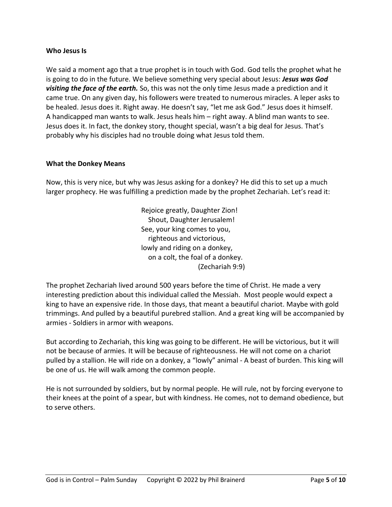#### **Who Jesus Is**

We said a moment ago that a true prophet is in touch with God. God tells the prophet what he is going to do in the future. We believe something very special about Jesus: *Jesus was God visiting the face of the earth.* So, this was not the only time Jesus made a prediction and it came true. On any given day, his followers were treated to numerous miracles. A leper asks to be healed. Jesus does it. Right away. He doesn't say, "let me ask God." Jesus does it himself. A handicapped man wants to walk. Jesus heals him – right away. A blind man wants to see. Jesus does it. In fact, the donkey story, thought special, wasn't a big deal for Jesus. That's probably why his disciples had no trouble doing what Jesus told them.

#### **What the Donkey Means**

Now, this is very nice, but why was Jesus asking for a donkey? He did this to set up a much larger prophecy. He was fulfilling a prediction made by the prophet Zechariah. Let's read it:

> Rejoice greatly, Daughter Zion! Shout, Daughter Jerusalem! See, your king comes to you, righteous and victorious, lowly and riding on a donkey, on a colt, the foal of a donkey. (Zechariah 9:9)

The prophet Zechariah lived around 500 years before the time of Christ. He made a very interesting prediction about this individual called the Messiah. Most people would expect a king to have an expensive ride. In those days, that meant a beautiful chariot. Maybe with gold trimmings. And pulled by a beautiful purebred stallion. And a great king will be accompanied by armies - Soldiers in armor with weapons.

But according to Zechariah, this king was going to be different. He will be victorious, but it will not be because of armies. It will be because of righteousness. He will not come on a chariot pulled by a stallion. He will ride on a donkey, a "lowly" animal - A beast of burden. This king will be one of us. He will walk among the common people.

He is not surrounded by soldiers, but by normal people. He will rule, not by forcing everyone to their knees at the point of a spear, but with kindness. He comes, not to demand obedience, but to serve others.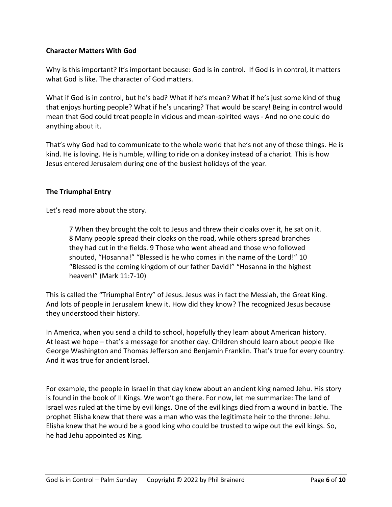## **Character Matters With God**

Why is this important? It's important because: God is in control. If God is in control, it matters what God is like. The character of God matters.

What if God is in control, but he's bad? What if he's mean? What if he's just some kind of thug that enjoys hurting people? What if he's uncaring? That would be scary! Being in control would mean that God could treat people in vicious and mean-spirited ways - And no one could do anything about it.

That's why God had to communicate to the whole world that he's not any of those things. He is kind. He is loving. He is humble, willing to ride on a donkey instead of a chariot. This is how Jesus entered Jerusalem during one of the busiest holidays of the year.

## **The Triumphal Entry**

Let's read more about the story.

7 When they brought the colt to Jesus and threw their cloaks over it, he sat on it. 8 Many people spread their cloaks on the road, while others spread branches they had cut in the fields. 9 Those who went ahead and those who followed shouted, "Hosanna!" "Blessed is he who comes in the name of the Lord!" 10 "Blessed is the coming kingdom of our father David!" "Hosanna in the highest heaven!" (Mark 11:7-10)

This is called the "Triumphal Entry" of Jesus. Jesus was in fact the Messiah, the Great King. And lots of people in Jerusalem knew it. How did they know? The recognized Jesus because they understood their history.

In America, when you send a child to school, hopefully they learn about American history. At least we hope – that's a message for another day. Children should learn about people like George Washington and Thomas Jefferson and Benjamin Franklin. That's true for every country. And it was true for ancient Israel.

For example, the people in Israel in that day knew about an ancient king named Jehu. His story is found in the book of II Kings. We won't go there. For now, let me summarize: The land of Israel was ruled at the time by evil kings. One of the evil kings died from a wound in battle. The prophet Elisha knew that there was a man who was the legitimate heir to the throne: Jehu. Elisha knew that he would be a good king who could be trusted to wipe out the evil kings. So, he had Jehu appointed as King.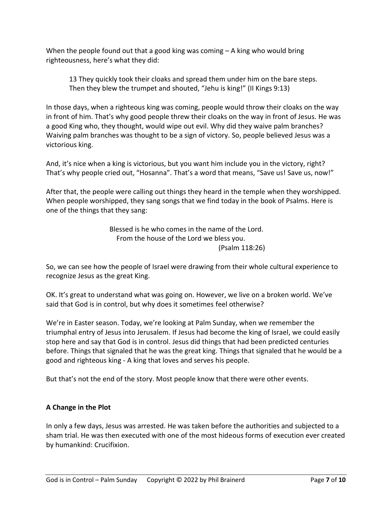When the people found out that a good king was coming – A king who would bring righteousness, here's what they did:

13 They quickly took their cloaks and spread them under him on the bare steps. Then they blew the trumpet and shouted, "Jehu is king!" (II Kings 9:13)

In those days, when a righteous king was coming, people would throw their cloaks on the way in front of him. That's why good people threw their cloaks on the way in front of Jesus. He was a good King who, they thought, would wipe out evil. Why did they waive palm branches? Waiving palm branches was thought to be a sign of victory. So, people believed Jesus was a victorious king.

And, it's nice when a king is victorious, but you want him include you in the victory, right? That's why people cried out, "Hosanna". That's a word that means, "Save us! Save us, now!"

After that, the people were calling out things they heard in the temple when they worshipped. When people worshipped, they sang songs that we find today in the book of Psalms. Here is one of the things that they sang:

> Blessed is he who comes in the name of the Lord. From the house of the Lord we bless you. (Psalm 118:26)

So, we can see how the people of Israel were drawing from their whole cultural experience to recognize Jesus as the great King.

OK. It's great to understand what was going on. However, we live on a broken world. We've said that God is in control, but why does it sometimes feel otherwise?

We're in Easter season. Today, we're looking at Palm Sunday, when we remember the triumphal entry of Jesus into Jerusalem. If Jesus had become the king of Israel, we could easily stop here and say that God is in control. Jesus did things that had been predicted centuries before. Things that signaled that he was the great king. Things that signaled that he would be a good and righteous king - A king that loves and serves his people.

But that's not the end of the story. Most people know that there were other events.

## **A Change in the Plot**

In only a few days, Jesus was arrested. He was taken before the authorities and subjected to a sham trial. He was then executed with one of the most hideous forms of execution ever created by humankind: Crucifixion.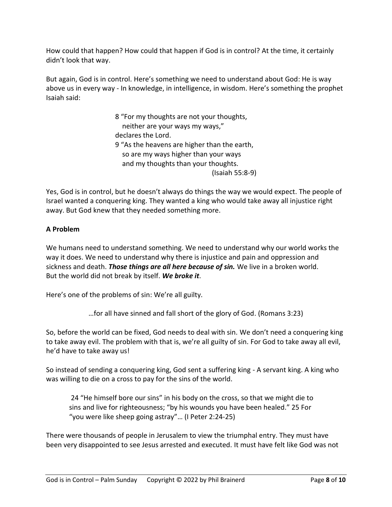How could that happen? How could that happen if God is in control? At the time, it certainly didn't look that way.

But again, God is in control. Here's something we need to understand about God: He is way above us in every way - In knowledge, in intelligence, in wisdom. Here's something the prophet Isaiah said:

> 8 "For my thoughts are not your thoughts, neither are your ways my ways," declares the Lord. 9 "As the heavens are higher than the earth, so are my ways higher than your ways and my thoughts than your thoughts. (Isaiah 55:8-9)

Yes, God is in control, but he doesn't always do things the way we would expect. The people of Israel wanted a conquering king. They wanted a king who would take away all injustice right away. But God knew that they needed something more.

# **A Problem**

We humans need to understand something. We need to understand why our world works the way it does. We need to understand why there is injustice and pain and oppression and sickness and death. *Those things are all here because of sin.* We live in a broken world. But the world did not break by itself. *We broke it*.

Here's one of the problems of sin: We're all guilty.

…for all have sinned and fall short of the glory of God. (Romans 3:23)

So, before the world can be fixed, God needs to deal with sin. We don't need a conquering king to take away evil. The problem with that is, we're all guilty of sin. For God to take away all evil, he'd have to take away us!

So instead of sending a conquering king, God sent a suffering king - A servant king. A king who was willing to die on a cross to pay for the sins of the world.

24 "He himself bore our sins" in his body on the cross, so that we might die to sins and live for righteousness; "by his wounds you have been healed." 25 For "you were like sheep going astray"… (I Peter 2:24-25)

There were thousands of people in Jerusalem to view the triumphal entry. They must have been very disappointed to see Jesus arrested and executed. It must have felt like God was not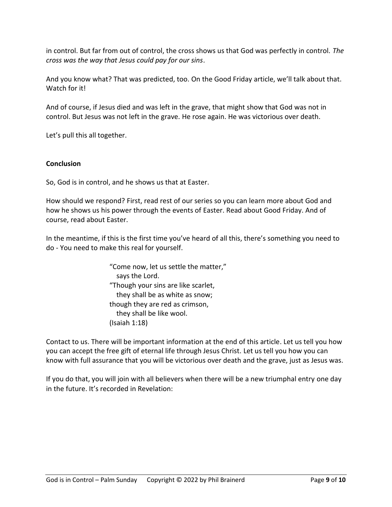in control. But far from out of control, the cross shows us that God was perfectly in control. *The cross was the way that Jesus could pay for our sins*.

And you know what? That was predicted, too. On the Good Friday article, we'll talk about that. Watch for it!

And of course, if Jesus died and was left in the grave, that might show that God was not in control. But Jesus was not left in the grave. He rose again. He was victorious over death.

Let's pull this all together.

## **Conclusion**

So, God is in control, and he shows us that at Easter.

How should we respond? First, read rest of our series so you can learn more about God and how he shows us his power through the events of Easter. Read about Good Friday. And of course, read about Easter.

In the meantime, if this is the first time you've heard of all this, there's something you need to do - You need to make this real for yourself.

> "Come now, let us settle the matter," says the Lord. "Though your sins are like scarlet, they shall be as white as snow; though they are red as crimson, they shall be like wool. (Isaiah 1:18)

Contact to us. There will be important information at the end of this article. Let us tell you how you can accept the free gift of eternal life through Jesus Christ. Let us tell you how you can know with full assurance that you will be victorious over death and the grave, just as Jesus was.

If you do that, you will join with all believers when there will be a new triumphal entry one day in the future. It's recorded in Revelation: